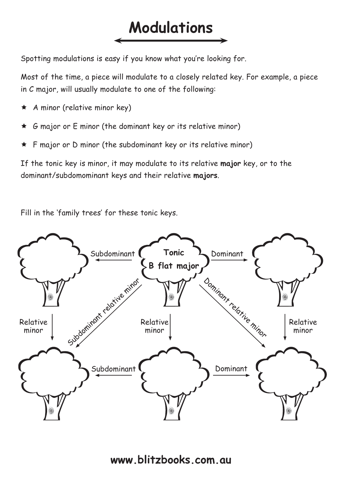## **Modulations**

Spotting modulations is easy if you know what you're looking for.

Most of the time, a piece will modulate to a closely related key. For example, a piece in C major, will usually modulate to one of the following:

- $\star$  A minor (relative minor key)
- $\star$  G major or E minor (the dominant key or its relative minor)
- $\star$  F major or D minor (the subdominant key or its relative minor)

If the tonic key is minor, it may modulate to its relative **major** key, or to the dominant/subdomominant keys and their relative **majors**.

Fill in the 'family trees' for these tonic keys.

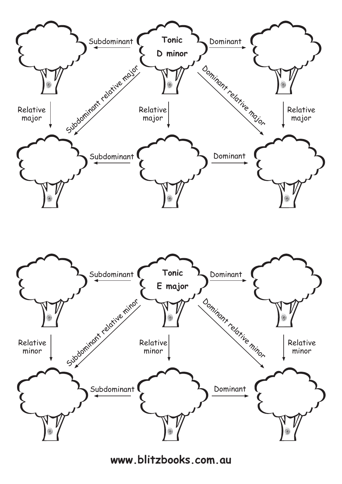



**www.blitzbooks.com.au**